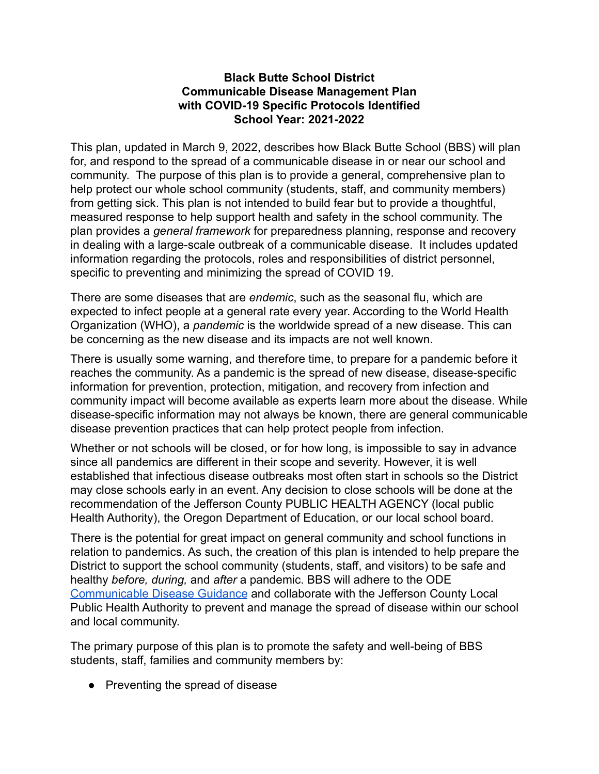#### **Black Butte School District Communicable Disease Management Plan with COVID-19 Specific Protocols Identified School Year: 2021-2022**

This plan, updated in March 9, 2022, describes how Black Butte School (BBS) will plan for, and respond to the spread of a communicable disease in or near our school and community. The purpose of this plan is to provide a general, comprehensive plan to help protect our whole school community (students, staff, and community members) from getting sick. This plan is not intended to build fear but to provide a thoughtful, measured response to help support health and safety in the school community. The plan provides a *general framework* for preparedness planning, response and recovery in dealing with a large-scale outbreak of a communicable disease. It includes updated information regarding the protocols, roles and responsibilities of district personnel, specific to preventing and minimizing the spread of COVID 19.

There are some diseases that are *endemic*, such as the seasonal flu, which are expected to infect people at a general rate every year. According to the World Health Organization (WHO), a *pandemic* is the worldwide spread of a new disease. This can be concerning as the new disease and its impacts are not well known.

There is usually some warning, and therefore time, to prepare for a pandemic before it reaches the community. As a pandemic is the spread of new disease, disease-specific information for prevention, protection, mitigation, and recovery from infection and community impact will become available as experts learn more about the disease. While disease-specific information may not always be known, there are general communicable disease prevention practices that can help protect people from infection.

Whether or not schools will be closed, or for how long, is impossible to say in advance since all pandemics are different in their scope and severity. However, it is well established that infectious disease outbreaks most often start in schools so the District may close schools early in an event. Any decision to close schools will be done at the recommendation of the Jefferson County PUBLIC HEALTH AGENCY (local public Health Authority), the Oregon Department of Education, or our local school board.

There is the potential for great impact on general community and school functions in relation to pandemics. As such, the creation of this plan is intended to help prepare the District to support the school community (students, staff, and visitors) to be safe and healthy *before, during,* and *after* a pandemic. BBS will adhere to the ODE [Communicable Disease Guidance](https://drive.google.com/file/d/12_QOA8_23wHYk4GUuUandeQrZPhTWbCH/view?usp=drivesdk) and collaborate with the Jefferson County Local Public Health Authority to prevent and manage the spread of disease within our school and local community.

The primary purpose of this plan is to promote the safety and well-being of BBS students, staff, families and community members by:

● Preventing the spread of disease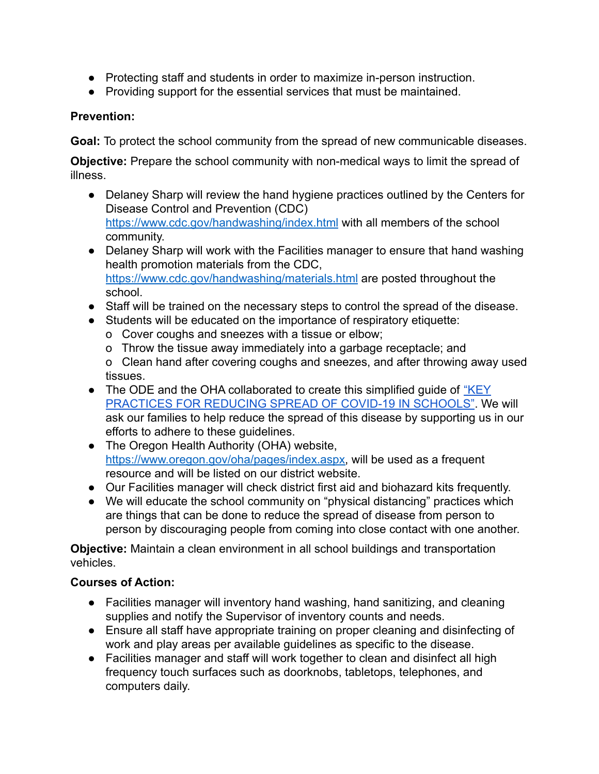- Protecting staff and students in order to maximize in-person instruction.
- Providing support for the essential services that must be maintained.

## **Prevention:**

**Goal:** To protect the school community from the spread of new communicable diseases.

**Objective:** Prepare the school community with non-medical ways to limit the spread of illness.

- Delaney Sharp will review the hand hygiene practices outlined by the Centers for Disease Control and Prevention (CDC) <https://www.cdc.gov/handwashing/index.html> with all members of the school community.
- Delaney Sharp will work with the Facilities manager to ensure that hand washing health promotion materials from the CDC[,](https://www.cdc.gov/handwashing/materials.html) <https://www.cdc.gov/handwashing/materials.html> are posted throughout the school.
- Staff will be trained on the necessary steps to control the spread of the disease.
- Students will be educated on the importance of respiratory etiquette:
	- o Cover coughs and sneezes with a tissue or elbow;
	- o Throw the tissue away immediately into a garbage receptacle; and

o Clean hand after covering coughs and sneezes, and after throwing away used tissues.

- The ODE and the OHA collaborated to create this simplified quide of ["KEY](https://www.oregon.gov/ode/students-and-family/healthsafety/Documents/Key%20Practices%20for%20Reducing%20Spread%20of%20COVID-19%20in%20Schools.pdf)" [PRACTICES FOR REDUCING SPREAD OF COVID-19 IN SCHOOLS"](https://www.oregon.gov/ode/students-and-family/healthsafety/Documents/Key%20Practices%20for%20Reducing%20Spread%20of%20COVID-19%20in%20Schools.pdf). We will ask our families to help reduce the spread of this disease by supporting us in our efforts to adhere to these guidelines.
- The Oregon Health Authority (OHA) website, [https://www.oregon.gov/oha/pages/index.aspx,](https://www.oregon.gov/oha/pages/index.aspx) will be used as a frequent resource and will be listed on our district website.
- Our Facilities manager will check district first aid and biohazard kits frequently.
- We will educate the school community on "physical distancing" practices which are things that can be done to reduce the spread of disease from person to person by discouraging people from coming into close contact with one another.

**Objective:** Maintain a clean environment in all school buildings and transportation vehicles.

- Facilities manager will inventory hand washing, hand sanitizing, and cleaning supplies and notify the Supervisor of inventory counts and needs.
- Ensure all staff have appropriate training on proper cleaning and disinfecting of work and play areas per available guidelines as specific to the disease.
- Facilities manager and staff will work together to clean and disinfect all high frequency touch surfaces such as doorknobs, tabletops, telephones, and computers daily.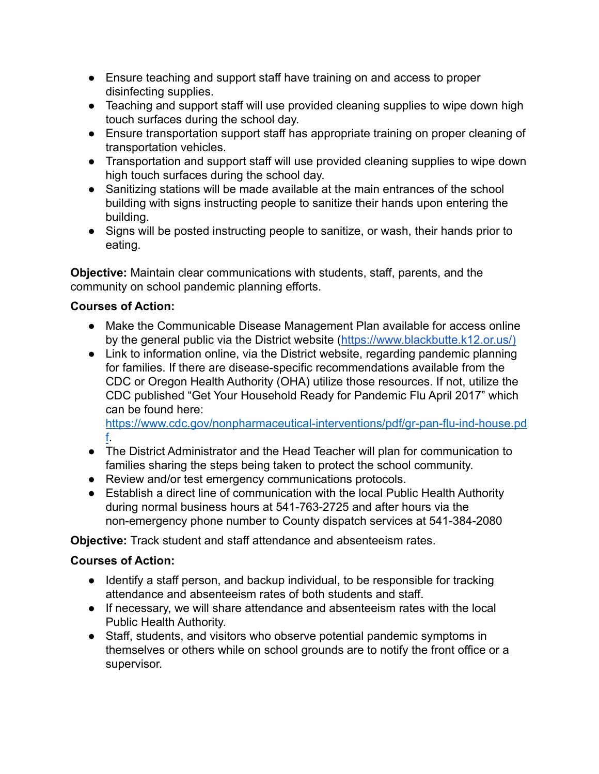- Ensure teaching and support staff have training on and access to proper disinfecting supplies.
- Teaching and support staff will use provided cleaning supplies to wipe down high touch surfaces during the school day.
- Ensure transportation support staff has appropriate training on proper cleaning of transportation vehicles.
- Transportation and support staff will use provided cleaning supplies to wipe down high touch surfaces during the school day.
- Sanitizing stations will be made available at the main entrances of the school building with signs instructing people to sanitize their hands upon entering the building.
- Signs will be posted instructing people to sanitize, or wash, their hands prior to eating.

**Objective:** Maintain clear communications with students, staff, parents, and the community on school pandemic planning efforts.

## **Courses of Action:**

- Make the Communicable Disease Management Plan available for access online by the general public via the District website ([https://www.blackbutte.k12.or.us/\)](https://www.blackbutte.k12.or.us/)
- Link to information online, via the District website, regarding pandemic planning for families. If there are disease-specific recommendations available from the CDC or Oregon Health Authority (OHA) utilize those resources. If not, utilize the CDC published "Get Your Household Ready for Pandemic Flu April 2017" which can be found here[:](https://www.cdc.gov/nonpharmaceutical-interventions/pdf/gr-pan-flu-ind-house.pdf)

[https://www.cdc.gov/nonpharmaceutical-interventions/pdf/gr-pan-flu-ind-house.pd](https://www.cdc.gov/nonpharmaceutical-interventions/pdf/gr-pan-flu-ind-house.pdf) [f](https://www.cdc.gov/nonpharmaceutical-interventions/pdf/gr-pan-flu-ind-house.pdf).

- The District Administrator and the Head Teacher will plan for communication to families sharing the steps being taken to protect the school community.
- Review and/or test emergency communications protocols.
- Establish a direct line of communication with the local Public Health Authority during normal business hours at 541-763-2725 and after hours via the non-emergency phone number to County dispatch services at 541-384-2080

**Objective:** Track student and staff attendance and absenteeism rates.

- Identify a staff person, and backup individual, to be responsible for tracking attendance and absenteeism rates of both students and staff.
- If necessary, we will share attendance and absenteeism rates with the local Public Health Authority.
- Staff, students, and visitors who observe potential pandemic symptoms in themselves or others while on school grounds are to notify the front office or a supervisor.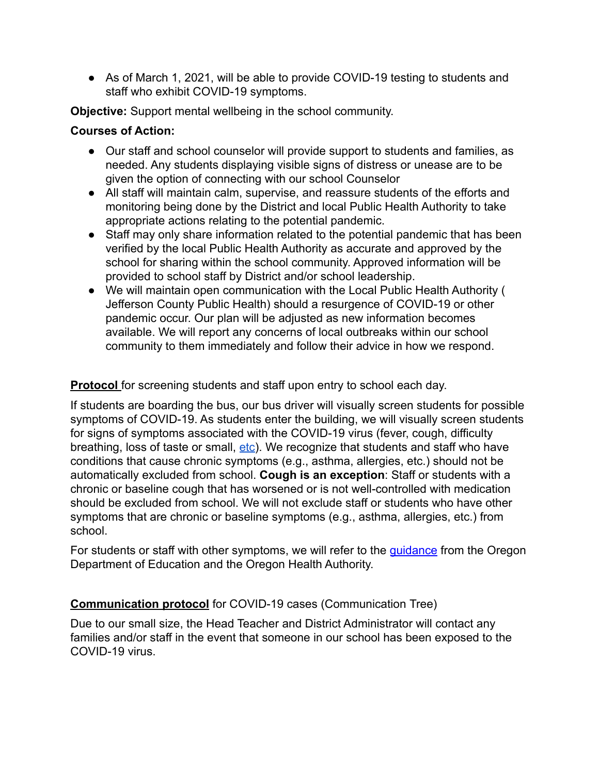● As of March 1, 2021, will be able to provide COVID-19 testing to students and staff who exhibit COVID-19 symptoms.

**Objective:** Support mental wellbeing in the school community.

### **Courses of Action:**

- Our staff and school counselor will provide support to students and families, as needed. Any students displaying visible signs of distress or unease are to be given the option of connecting with our school Counselor
- All staff will maintain calm, supervise, and reassure students of the efforts and monitoring being done by the District and local Public Health Authority to take appropriate actions relating to the potential pandemic.
- Staff may only share information related to the potential pandemic that has been verified by the local Public Health Authority as accurate and approved by the school for sharing within the school community. Approved information will be provided to school staff by District and/or school leadership.
- We will maintain open communication with the Local Public Health Authority ( Jefferson County Public Health) should a resurgence of COVID-19 or other pandemic occur. Our plan will be adjusted as new information becomes available. We will report any concerns of local outbreaks within our school community to them immediately and follow their advice in how we respond.

**Protocol** for screening students and staff upon entry to school each day.

If students are boarding the bus, our bus driver will visually screen students for possible symptoms of COVID-19. As students enter the building, we will visually screen students for signs of symptoms associated with the COVID-19 virus (fever, cough, difficulty breathing, loss of taste or small, [etc\)](https://www.cdc.gov/coronavirus/2019-ncov/symptoms-testing/symptoms.html). We recognize that students and staff who have conditions that cause chronic symptoms (e.g., asthma, allergies, etc.) should not be automatically excluded from school. **Cough is an exception**: Staff or students with a chronic or baseline cough that has worsened or is not well-controlled with medication should be excluded from school. We will not exclude staff or students who have other symptoms that are chronic or baseline symptoms (e.g., asthma, allergies, etc.) from school.

For students or staff with other symptoms, we will refer to the [guidance](https://www.oregon.gov/ode/students-and-family/healthsafety/Documents/commdisease.pdf) from the Oregon Department of Education and the Oregon Health Authority.

# **Communication protocol** for COVID-19 cases (Communication Tree)

Due to our small size, the Head Teacher and District Administrator will contact any families and/or staff in the event that someone in our school has been exposed to the COVID-19 virus.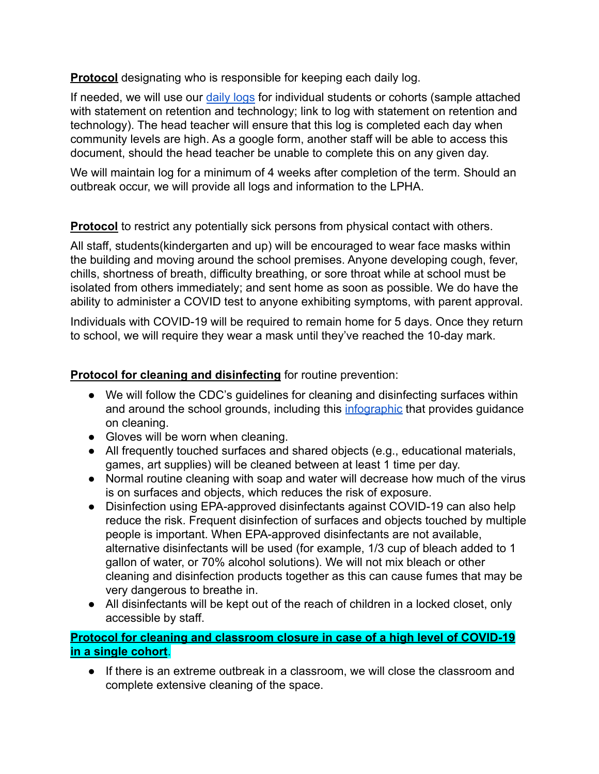**Protocol** designating who is responsible for keeping each daily log.

If needed, we will use our [daily logs](https://drive.google.com/file/d/13LO8TBsxFhBK9A2V21oWcY_-8gBIP5Af/view?usp=sharing) for individual students or cohorts (sample attached with statement on retention and technology; link to log with statement on retention and technology). The head teacher will ensure that this log is completed each day when community levels are high. As a google form, another staff will be able to access this document, should the head teacher be unable to complete this on any given day.

We will maintain log for a minimum of 4 weeks after completion of the term. Should an outbreak occur, we will provide all logs and information to the LPHA.

**Protocol** to restrict any potentially sick persons from physical contact with others.

All staff, students(kindergarten and up) will be encouraged to wear face masks within the building and moving around the school premises. Anyone developing cough, fever, chills, shortness of breath, difficulty breathing, or sore throat while at school must be isolated from others immediately; and sent home as soon as possible. We do have the ability to administer a COVID test to anyone exhibiting symptoms, with parent approval.

Individuals with COVID-19 will be required to remain home for 5 days. Once they return to school, we will require they wear a mask until they've reached the 10-day mark.

# **Protocol for cleaning and disinfecting** for routine prevention:

- We will follow the CDC's guidelines for cleaning and disinfecting surfaces within and around the school grounds, including this [infographic](https://www.epa.gov/sites/production/files/2020-04/documents/316485-b_reopeningamerica_combo_placard_infographic_4.19_6pm.pdf) that provides guidance on cleaning.
- Gloves will be worn when cleaning.
- All frequently touched surfaces and shared objects (e.g., educational materials, games, art supplies) will be cleaned between at least 1 time per day.
- Normal routine cleaning with soap and water will decrease how much of the virus is on surfaces and objects, which reduces the risk of exposure.
- Disinfection using EPA-approved disinfectants against COVID-19 can also help reduce the risk. Frequent disinfection of surfaces and objects touched by multiple people is important. When EPA-approved disinfectants are not available, alternative disinfectants will be used (for example, 1/3 cup of bleach added to 1 gallon of water, or 70% alcohol solutions). We will not mix bleach or other cleaning and disinfection products together as this can cause fumes that may be very dangerous to breathe in.
- All disinfectants will be kept out of the reach of children in a locked closet, only accessible by staff.

## **Protocol for cleaning and classroom closure in case of a high level of COVID-19 in a single cohort**.

● If there is an extreme outbreak in a classroom, we will close the classroom and complete extensive cleaning of the space.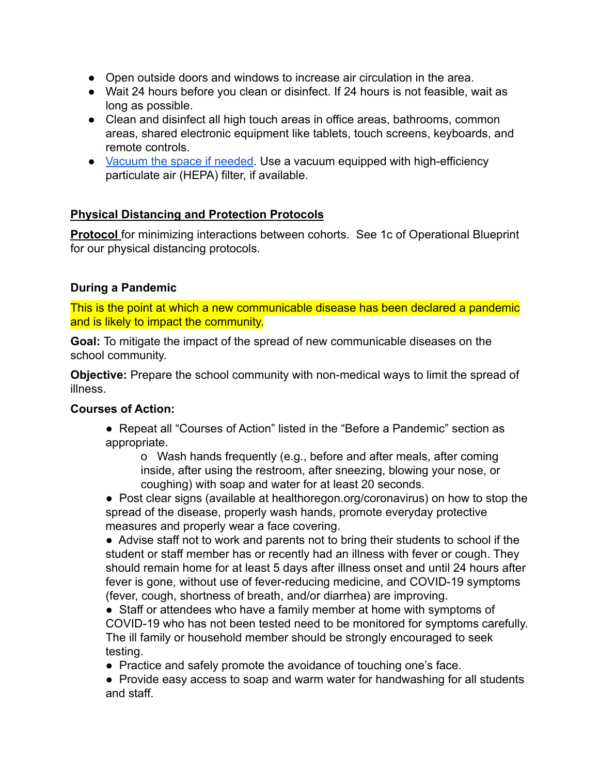- Open outside doors and windows to increase air circulation in the area.
- Wait 24 hours before you clean or disinfect. If 24 hours is not feasible, wait as long as possible.
- Clean and disinfect all high touch areas in office areas, bathrooms, common areas, shared electronic equipment like tablets, touch screens, keyboards, and remote controls.
- [Vacuum the space if needed](https://www.cdc.gov/coronavirus/2019-ncov/faq.html#Cleaning-and-Disinfection). Use a vacuum equipped with high-efficiency particulate air (HEPA) filter, if available.

## **Physical Distancing and Protection Protocols**

**Protocol** for minimizing interactions between cohorts. See 1c of Operational Blueprint for our physical distancing protocols.

### **During a Pandemic**

This is the point at which a new communicable disease has been declared a pandemic and is likely to impact the community.

**Goal:** To mitigate the impact of the spread of new communicable diseases on the school community.

**Objective:** Prepare the school community with non-medical ways to limit the spread of illness.

### **Courses of Action:**

● Repeat all "Courses of Action" listed in the "Before a Pandemic" section as appropriate.

o Wash hands frequently (e.g., before and after meals, after coming inside, after using the restroom, after sneezing, blowing your nose, or coughing) with soap and water for at least 20 seconds.

● Post clear signs (available at healthoregon.org/coronavirus) on how to stop the spread of the disease, properly wash hands, promote everyday protective measures and properly wear a face covering.

● Advise staff not to work and parents not to bring their students to school if the student or staff member has or recently had an illness with fever or cough. They should remain home for at least 5 days after illness onset and until 24 hours after fever is gone, without use of fever-reducing medicine, and COVID-19 symptoms (fever, cough, shortness of breath, and/or diarrhea) are improving.

● Staff or attendees who have a family member at home with symptoms of COVID-19 who has not been tested need to be monitored for symptoms carefully. The ill family or household member should be strongly encouraged to seek testing.

● Practice and safely promote the avoidance of touching one's face.

• Provide easy access to soap and warm water for handwashing for all students and staff.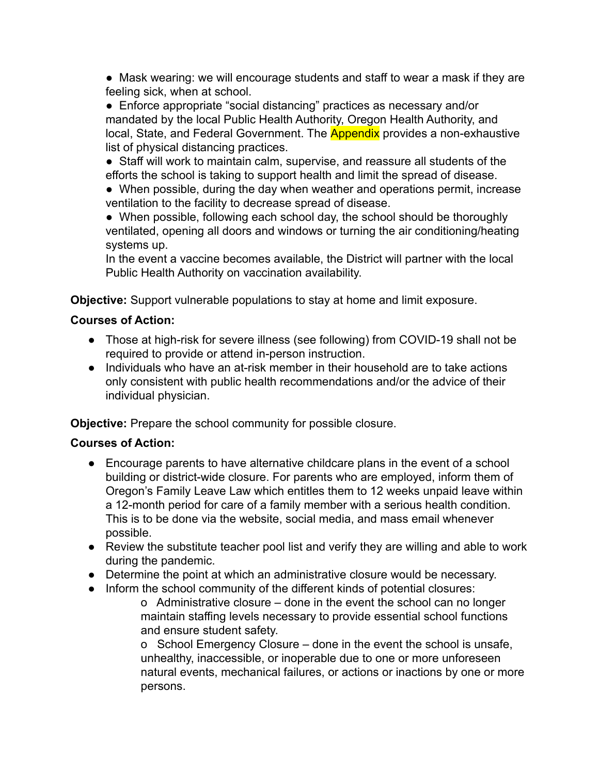● Mask wearing: we will encourage students and staff to wear a mask if they are feeling sick, when at school.

● Enforce appropriate "social distancing" practices as necessary and/or mandated by the local Public Health Authority, Oregon Health Authority, and local, State, and Federal Government. The **Appendix** provides a non-exhaustive list of physical distancing practices.

● Staff will work to maintain calm, supervise, and reassure all students of the efforts the school is taking to support health and limit the spread of disease.

• When possible, during the day when weather and operations permit, increase ventilation to the facility to decrease spread of disease.

• When possible, following each school day, the school should be thoroughly ventilated, opening all doors and windows or turning the air conditioning/heating systems up.

In the event a vaccine becomes available, the District will partner with the local Public Health Authority on vaccination availability.

**Objective:** Support vulnerable populations to stay at home and limit exposure.

## **Courses of Action:**

- Those at high-risk for severe illness (see following) from COVID-19 shall not be required to provide or attend in-person instruction.
- Individuals who have an at-risk member in their household are to take actions only consistent with public health recommendations and/or the advice of their individual physician.

**Objective:** Prepare the school community for possible closure.

### **Courses of Action:**

- Encourage parents to have alternative childcare plans in the event of a school building or district-wide closure. For parents who are employed, inform them of Oregon's Family Leave Law which entitles them to 12 weeks unpaid leave within a 12-month period for care of a family member with a serious health condition. This is to be done via the website, social media, and mass email whenever possible.
- Review the substitute teacher pool list and verify they are willing and able to work during the pandemic.
- Determine the point at which an administrative closure would be necessary.
- Inform the school community of the different kinds of potential closures:
	- o Administrative closure done in the event the school can no longer maintain staffing levels necessary to provide essential school functions and ensure student safety.

o School Emergency Closure – done in the event the school is unsafe, unhealthy, inaccessible, or inoperable due to one or more unforeseen natural events, mechanical failures, or actions or inactions by one or more persons.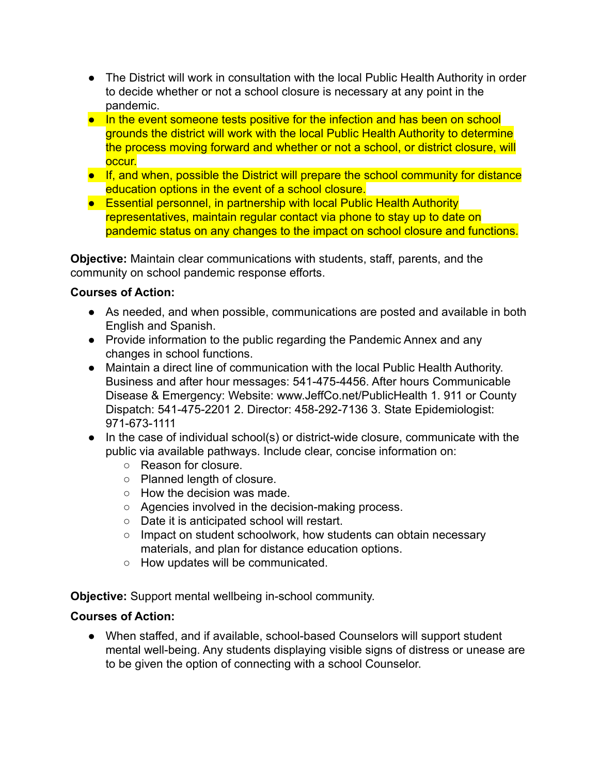- The District will work in consultation with the local Public Health Authority in order to decide whether or not a school closure is necessary at any point in the pandemic.
- In the event someone tests positive for the infection and has been on school grounds the district will work with the local Public Health Authority to determine the process moving forward and whether or not a school, or district closure, will occur.
- If, and when, possible the District will prepare the school community for distance education options in the event of a school closure.
- Essential personnel, in partnership with local Public Health Authority representatives, maintain regular contact via phone to stay up to date on pandemic status on any changes to the impact on school closure and functions.

**Objective:** Maintain clear communications with students, staff, parents, and the community on school pandemic response efforts.

## **Courses of Action:**

- As needed, and when possible, communications are posted and available in both English and Spanish.
- Provide information to the public regarding the Pandemic Annex and any changes in school functions.
- Maintain a direct line of communication with the local Public Health Authority. Business and after hour messages: 541-475-4456. After hours Communicable Disease & Emergency: Website: www.JeffCo.net/PublicHealth 1. 911 or County Dispatch: 541-475-2201 2. Director: 458-292-7136 3. State Epidemiologist: 971-673-1111
- In the case of individual school(s) or district-wide closure, communicate with the public via available pathways. Include clear, concise information on:
	- Reason for closure.
	- Planned length of closure.
	- How the decision was made.
	- Agencies involved in the decision-making process.
	- Date it is anticipated school will restart.
	- Impact on student schoolwork, how students can obtain necessary materials, and plan for distance education options.
	- How updates will be communicated.

**Objective:** Support mental wellbeing in-school community.

# **Courses of Action:**

● When staffed, and if available, school-based Counselors will support student mental well-being. Any students displaying visible signs of distress or unease are to be given the option of connecting with a school Counselor.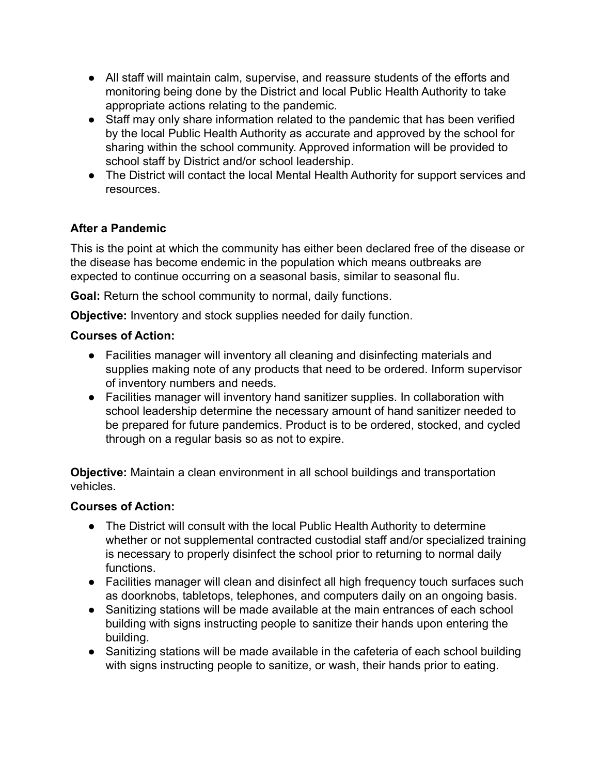- All staff will maintain calm, supervise, and reassure students of the efforts and monitoring being done by the District and local Public Health Authority to take appropriate actions relating to the pandemic.
- Staff may only share information related to the pandemic that has been verified by the local Public Health Authority as accurate and approved by the school for sharing within the school community. Approved information will be provided to school staff by District and/or school leadership.
- The District will contact the local Mental Health Authority for support services and resources.

# **After a Pandemic**

This is the point at which the community has either been declared free of the disease or the disease has become endemic in the population which means outbreaks are expected to continue occurring on a seasonal basis, similar to seasonal flu.

**Goal:** Return the school community to normal, daily functions.

**Objective:** Inventory and stock supplies needed for daily function.

### **Courses of Action:**

- Facilities manager will inventory all cleaning and disinfecting materials and supplies making note of any products that need to be ordered. Inform supervisor of inventory numbers and needs.
- Facilities manager will inventory hand sanitizer supplies. In collaboration with school leadership determine the necessary amount of hand sanitizer needed to be prepared for future pandemics. Product is to be ordered, stocked, and cycled through on a regular basis so as not to expire.

**Objective:** Maintain a clean environment in all school buildings and transportation vehicles.

- The District will consult with the local Public Health Authority to determine whether or not supplemental contracted custodial staff and/or specialized training is necessary to properly disinfect the school prior to returning to normal daily functions.
- Facilities manager will clean and disinfect all high frequency touch surfaces such as doorknobs, tabletops, telephones, and computers daily on an ongoing basis.
- Sanitizing stations will be made available at the main entrances of each school building with signs instructing people to sanitize their hands upon entering the building.
- Sanitizing stations will be made available in the cafeteria of each school building with signs instructing people to sanitize, or wash, their hands prior to eating.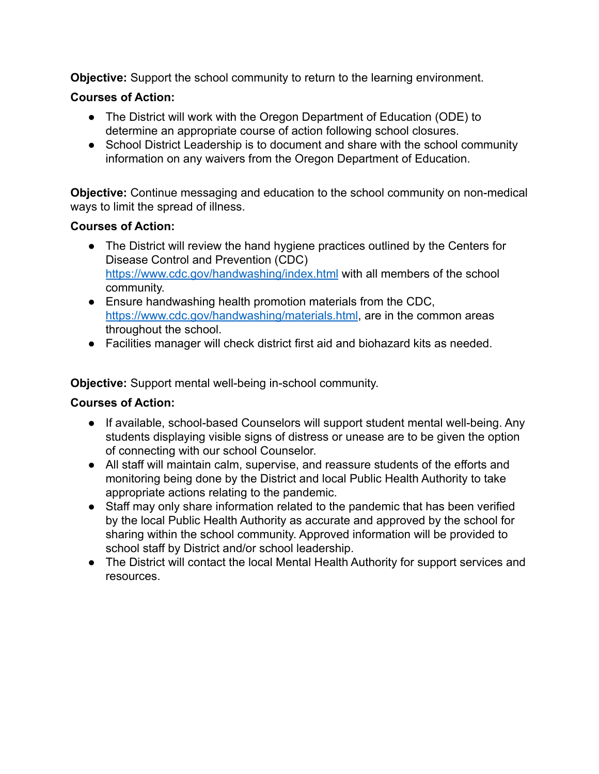**Objective:** Support the school community to return to the learning environment.

## **Courses of Action:**

- The District will work with the Oregon Department of Education (ODE) to determine an appropriate course of action following school closures.
- School District Leadership is to document and share with the school community information on any waivers from the Oregon Department of Education.

**Objective:** Continue messaging and education to the school community on non-medical ways to limit the spread of illness.

### **Courses of Action:**

- The District will review the hand hygiene practices outlined by the Centers for Disease Control and Prevention (CDC) <https://www.cdc.gov/handwashing/index.html> with all members of the school community.
- Ensure handwashing health promotion materials from the CDC, <https://www.cdc.gov/handwashing/materials.html>, are in the common areas throughout the school.
- Facilities manager will check district first aid and biohazard kits as needed.

**Objective:** Support mental well-being in-school community.

- If available, school-based Counselors will support student mental well-being. Any students displaying visible signs of distress or unease are to be given the option of connecting with our school Counselor.
- All staff will maintain calm, supervise, and reassure students of the efforts and monitoring being done by the District and local Public Health Authority to take appropriate actions relating to the pandemic.
- Staff may only share information related to the pandemic that has been verified by the local Public Health Authority as accurate and approved by the school for sharing within the school community. Approved information will be provided to school staff by District and/or school leadership.
- The District will contact the local Mental Health Authority for support services and resources.